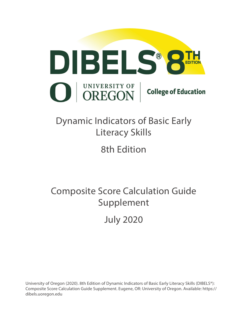

# Dynamic Indicators of Basic Early Literacy Skills

8th Edition

Composite Score Calculation Guide Supplement

July 2020

University of Oregon (2020). 8th Edition of Dynamic Indicators of Basic Early Literacy Skills (DIBELS®): Composite Score Calculation Guide Supplement. Eugene, OR: University of Oregon. Available: https:// dibels.uoregon.edu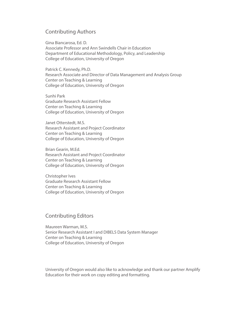## Contributing Authors

Gina Biancarosa, Ed. D. Associate Professor and Ann Swindells Chair in Education Department of Educational Methodology, Policy, and Leadership College of Education, University of Oregon

Patrick C. Kennedy, Ph.D. Research Associate and Director of Data Management and Analysis Group Center on Teaching & Learning College of Education, University of Oregon

Sunhi Park Graduate Research Assistant Fellow Center on Teaching & Learning College of Education, University of Oregon

Janet Otterstedt, M.S. Research Assistant and Project Coordinator Center on Teaching & Learning College of Education, University of Oregon

Brian Gearin, M.Ed. Research Assistant and Project Coordinator Center on Teaching & Learning College of Education, University of Oregon

Christopher Ives Graduate Research Assistant Fellow Center on Teaching & Learning College of Education, University of Oregon

## Contributing Editors

Maureen Warman, M.S. Senior Research Assistant I and DIBELS Data System Manager Center on Teaching & Learning College of Education, University of Oregon

University of Oregon would also like to acknowledge and thank our partner Amplify Education for their work on copy editing and formatting.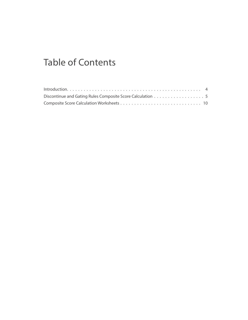# Table of Contents

| Discontinue and Gating Rules Composite Score Calculation 5 |  |
|------------------------------------------------------------|--|
|                                                            |  |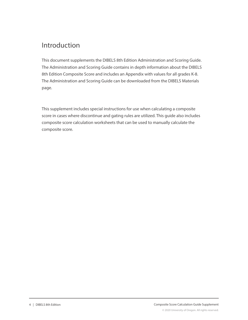## Introduction

This document supplements the DIBELS 8th Edition Administration and Scoring Guide. The Administration and Scoring Guide contains in depth information about the DIBELS 8th Edition Composite Score and includes an Appendix with values for all grades K-8. The Administration and Scoring Guide can be downloaded from the DIBELS Materials page.

This supplement includes special instructions for use when calculating a composite score in cases where discontinue and gating rules are utilized. This guide also includes composite score calculation worksheets that can be used to manually calculate the composite score.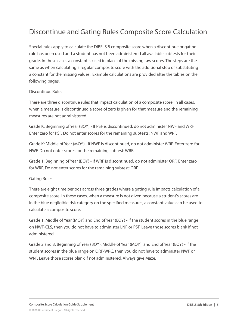# Discontinue and Gating Rules Composite Score Calculation

Special rules apply to calculate the DIBELS 8 composite score when a discontinue or gating rule has been used and a student has not been administered all available subtests for their grade. In these cases a constant is used in place of the missing raw scores. The steps are the same as when calculating a regular composite score with the additional step of substituting a constant for the missing values. Example calculations are provided after the tables on the following pages.

#### Discontinue Rules

There are three discontinue rules that impact calculation of a composite score. In all cases, when a measure is discontinued a score of zero is given for that measure and the remaining measures are not administered.

Grade K: Beginning of Year (BOY) - If PSF is discontinued, do not administer NWF and WRF. Enter zero for PSF. Do not enter scores for the remaining subtests: NWF and WRF.

Grade K: Middle of Year (MOY) - If NWF is discontinued, do not administer WRF. Enter zero for NWF. Do not enter scores for the remaining subtest: WRF.

Grade 1: Beginning of Year (BOY) - If WRF is discontinued, do not administer ORF. Enter zero for WRF. Do not enter scores for the remaining subtest: ORF

#### Gating Rules

There are eight time periods across three grades where a gating rule impacts calculation of a composite score. In these cases, when a measure is not given because a student's scores are in the blue negligible risk category on the specified measures, a constant value can be used to calculate a composite score.

Grade 1: Middle of Year (MOY) and End of Year (EOY) - If the student scores in the blue range on NWF-CLS, then you do not have to administer LNF or PSF. Leave those scores blank if not administered.

Grade 2 and 3: Beginning of Year (BOY), Middle of Year (MOY), and End of Year (EOY) - If the student scores in the blue range on ORF-WRC, then you do not have to administer NWF or WRF. Leave those scores blank if not administered. Always give Maze.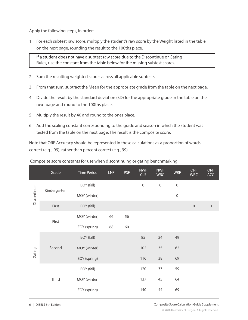Apply the following steps, in order:

 $\overline{\phantom{a}}$ 

1. For each subtest raw score, multiply the student's raw score by the Weight listed in the table on the next page, rounding the result to the 100ths place.

If a student does not have a subtest raw score due to the Discontinue or Gating Rules, use the constant from the table below for the missing subtest scores.

- 2. Sum the resulting weighted scores across all applicable subtests.
- 3. From that sum, subtract the Mean for the appropriate grade from the table on the next page.
- 4. Divide the result by the standard deviation (SD) for the appropriate grade in the table on the next page and round to the 100ths place.
- 5. Multiply the result by 40 and round to the ones place.
- 6. Add the scaling constant corresponding to the grade and season in which the student was tested from the table on the next page. The result is the composite score.

Note that ORF Accuracy should be represented in these calculations as a proportion of words correct (e.g., .99), rather than percent correct (e.g., 99).

|             | Grade        | <b>Time Period</b> | <b>LNF</b> | <b>PSF</b> | <b>NWF</b><br><b>CLS</b> | <b>NWF</b><br><b>WRC</b> | <b>WRF</b>       | <b>ORF</b><br><b>WRC</b> | <b>ORF</b><br>ACC |
|-------------|--------------|--------------------|------------|------------|--------------------------|--------------------------|------------------|--------------------------|-------------------|
|             |              | BOY (fall)         |            |            | $\boldsymbol{0}$         | $\mathbf 0$              | $\mathbf 0$      |                          |                   |
| Discontinue | Kindergarten | MOY (winter)       |            |            |                          |                          | $\boldsymbol{0}$ |                          |                   |
|             | First        | BOY (fall)         |            |            |                          |                          |                  | $\mathbf 0$              | $\,0\,$           |
|             | First        | MOY (winter)       | 66         | 56         |                          |                          |                  |                          |                   |
|             |              | EOY (spring)       | 68         | 60         |                          |                          |                  |                          |                   |
|             |              | BOY (fall)         |            |            | 85                       | 24                       | 49               |                          |                   |
| Gating      | Second       | MOY (winter)       |            |            | 102                      | 35                       | 62               |                          |                   |
|             |              | EOY (spring)       |            |            | 116                      | 38                       | 69               |                          |                   |
|             |              | BOY (fall)         |            |            | 120                      | 33                       | 59               |                          |                   |
|             | Third        | MOY (winter)       |            |            | 137                      | 45                       | 64               |                          |                   |
|             |              | EOY (spring)       |            |            | 140                      | 44                       | 69               |                          |                   |

#### Composite score constants for use when discontinuing or gating benchmarking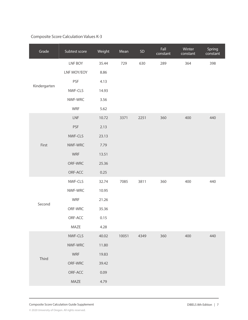## Composite Score Calculation Values K-3

| Grade        | Subtest score | Weight | Mean  | ${\sf SD}$ | Fall<br>constant | Winter<br>constant | Spring<br>constant |
|--------------|---------------|--------|-------|------------|------------------|--------------------|--------------------|
|              | LNF BOY       | 35.44  | 729   | 630        | 289              | 364                | 398                |
|              | LNF MOY/EOY   | 8.86   |       |            |                  |                    |                    |
|              | PSF           | 4.13   |       |            |                  |                    |                    |
| Kindergarten | NWF-CLS       | 14.93  |       |            |                  |                    |                    |
|              | NWF-WRC       | 3.56   |       |            |                  |                    |                    |
|              | WRF           | 5.62   |       |            |                  |                    |                    |
|              | ${\sf LNF}$   | 10.72  | 3371  | 2251       | 360              | 400                | 440                |
|              | <b>PSF</b>    | 2.13   |       |            |                  |                    |                    |
|              | NWF-CLS       | 23.13  |       |            |                  |                    |                    |
| First        | NWF-WRC       | 7.79   |       |            |                  |                    |                    |
|              | WRF           | 13.51  |       |            |                  |                    |                    |
|              | ORF-WRC       | 25.36  |       |            |                  |                    |                    |
|              | ORF-ACC       | 0.25   |       |            |                  |                    |                    |
|              | NWF-CLS       | 32.74  | 7085  | 3811       | 360              | 400                | 440                |
|              | NWF-WRC       | 10.95  |       |            |                  |                    |                    |
| Second       | WRF           | 21.26  |       |            |                  |                    |                    |
|              | ORF-WRC       | 35.36  |       |            |                  |                    |                    |
|              | ORF-ACC       | 0.15   |       |            |                  |                    |                    |
|              | MAZE          | 4.28   |       |            |                  |                    |                    |
|              | NWF-CLS       | 40.02  | 10051 | 4349       | 360              | 400                | 440                |
|              | NWF-WRC       | 11.80  |       |            |                  |                    |                    |
| Third        | <b>WRF</b>    | 19.83  |       |            |                  |                    |                    |
|              | ORF-WRC       | 39.42  |       |            |                  |                    |                    |
|              | ORF-ACC       | 0.09   |       |            |                  |                    |                    |
|              | MAZE          | 4.79   |       |            |                  |                    |                    |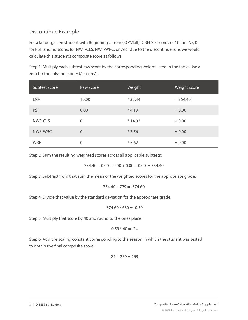## Discontinue Example

For a kindergarten student with Beginning of Year (BOY/fall) DIBELS 8 scores of 10 for LNF, 0 for PSF, and no scores for NWF-CLS, NWF-WRC, or WRF due to the discontinue rule, we would calculate this student's composite score as follows.

Step 1: Multiply each subtest raw score by the corresponding weight listed in the table. Use a zero for the missing subtest/s score/s.

| Subtest score | Raw score      | Weight   | Weight score |
|---------------|----------------|----------|--------------|
| LNF           | 10.00          | $*35.44$ | $= 354.40$   |
| <b>PSF</b>    | 0.00           | $*4.13$  | $= 0.00$     |
| NWF-CLS       | 0              | $*14.93$ | $= 0.00$     |
| NWF-WRC       | $\overline{0}$ | $*3.56$  | $= 0.00$     |
| <b>WRF</b>    | 0              | $*5.62$  | $= 0.00$     |

Step 2: Sum the resulting weighted scores across all applicable subtests:

 $354.40 + 0.00 + 0.00 + 0.00 + 0.00 = 354.40$ 

Step 3: Subtract from that sum the mean of the weighted scores for the appropriate grade:

$$
354.40 - 729 = -374.60
$$

Step 4: Divide that value by the standard deviation for the appropriate grade:

$$
-374.60 / 630 = -0.59
$$

Step 5: Multiply that score by 40 and round to the ones place:

$$
-0.59 * 40 = -24
$$

Step 6: Add the scaling constant corresponding to the season in which the student was tested to obtain the final composite score:

$$
-24 + 289 = 265
$$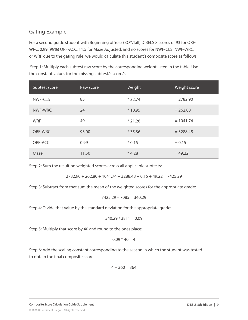## Gating Example

For a second grade student with Beginning of Year (BOY/fall) DIBELS 8 scores of 93 for ORF-WRC, 0.99 (99%) ORF-ACC, 11.5 for Maze Adjusted, and no scores for NWF-CLS, NWF-WRC, or WRF due to the gating rule, we would calculate this student's composite score as follows.

 Step 1: Multiply each subtest raw score by the corresponding weight listed in the table. Use the constant values for the missing subtest/s score/s.

| Subtest score | Raw score | Weight   | Weight score |
|---------------|-----------|----------|--------------|
| NWF-CLS       | 85        | $*32.74$ | $= 2782.90$  |
| NWF-WRC       | 24        | $*10.95$ | $= 262.80$   |
| <b>WRF</b>    | 49        | $*21.26$ | $= 1041.74$  |
| ORF-WRC       | 93.00     | $*35.36$ | $= 3288.48$  |
| ORF-ACC       | 0.99      | $*0.15$  | $= 0.15$     |
| Maze          | 11.50     | $*4.28$  | $= 49.22$    |

Step 2: Sum the resulting weighted scores across all applicable subtests:

 $2782.90 + 262.80 + 1041.74 + 3288.48 + 0.15 + 49.22 = 7425.29$ 

Step 3: Subtract from that sum the mean of the weighted scores for the appropriate grade:

$$
7425.29 - 7085 = 340.29
$$

Step 4: Divide that value by the standard deviation for the appropriate grade:

$$
340.29 / 3811 = 0.09
$$

Step 5: Multiply that score by 40 and round to the ones place:

$$
0.09 * 40 = 4
$$

Step 6: Add the scaling constant corresponding to the season in which the student was tested to obtain the final composite score:

$$
4+360=364
$$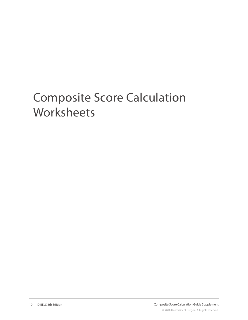# Composite Score Calculation **Worksheets**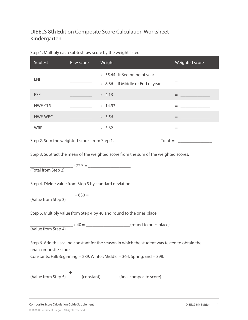## DIBELS 8th Edition Composite Score Calculation Worksheet Kindergarten

| Subtest                                                                                      | Raw score                                    | Weight                                                          | Weighted score                                                                                          |  |
|----------------------------------------------------------------------------------------------|----------------------------------------------|-----------------------------------------------------------------|---------------------------------------------------------------------------------------------------------|--|
| <b>LNF</b>                                                                                   |                                              | x 35.44 if Beginning of year<br>x 8.86 if Middle or End of year | <b>Experience of the Community</b>                                                                      |  |
| <b>PSF</b>                                                                                   | <b>Contract Contract Contract</b>            | $x \, 4.13$                                                     |                                                                                                         |  |
| NWF-CLS                                                                                      |                                              | x 14.93                                                         | $\equiv$ . The contract of the contract of $\sim$                                                       |  |
| NWF-WRC                                                                                      |                                              | x 3.56                                                          | <b>Experience of the Community</b>                                                                      |  |
| <b>WRF</b>                                                                                   |                                              | x 5.62                                                          | <u> 1999 - Johann Barn, mars and de</u>                                                                 |  |
|                                                                                              | Step 2. Sum the weighted scores from Step 1. |                                                                 | $\text{Total} = \begin{array}{c} \begin{array}{c} \text{Total} \\ \text{Total} \end{array} \end{array}$ |  |
| Chain 2. Culative at the measure of the weighted coase from the curse of the weighted coases |                                              |                                                                 |                                                                                                         |  |

#### Step 1. Multiply each subtest raw score by the weight listed.

Step 3. Subtract the mean of the weighted score from the sum of the weighted scores.

\_\_\_\_\_\_\_\_\_\_\_\_\_\_\_\_\_\_\_ - 729 = \_\_\_\_\_\_\_\_\_\_\_\_\_\_\_\_\_\_\_ (Total from Step 2)

Step 4. Divide value from Step 3 by standard deviation.

\_\_\_\_\_\_\_\_\_\_\_\_\_\_\_\_\_\_\_ ÷ 630 = \_\_\_\_\_\_\_\_\_\_\_\_\_\_\_\_\_\_\_ (Value from Step 3)

Step 5. Multiply value from Step 4 by 40 and round to the ones place.

 $x = x + 40 =$  (round to ones place) (Value from Step 4)

Step 6. Add the scaling constant for the season in which the student was tested to obtain the final composite score.

Constants: Fall/Beginning = 289, Winter/Middle = 364, Spring/End = 398.

| (Value from Step 5) | (constant) | (final composite score) |
|---------------------|------------|-------------------------|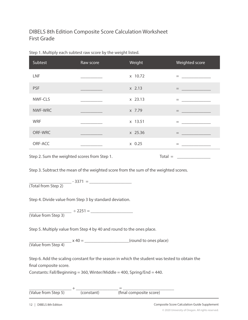## DIBELS 8th Edition Composite Score Calculation Worksheet First Grade

| Subtest                                      | Raw score                                                                                                            | Weight     | Weighted score                                                                                                                                                                                                                                                                                                                                                                                                                               |
|----------------------------------------------|----------------------------------------------------------------------------------------------------------------------|------------|----------------------------------------------------------------------------------------------------------------------------------------------------------------------------------------------------------------------------------------------------------------------------------------------------------------------------------------------------------------------------------------------------------------------------------------------|
| <b>LNF</b>                                   | ________________                                                                                                     | x 10.72    | = <u>______________</u>                                                                                                                                                                                                                                                                                                                                                                                                                      |
| <b>PSF</b>                                   |                                                                                                                      | $x \ 2.13$ | $=$<br><u> 1989 - Jan James James Barnett, fransk politik (d. 1989)</u>                                                                                                                                                                                                                                                                                                                                                                      |
| NWF-CLS                                      | the control of the control of the                                                                                    | $x$ 23.13  |                                                                                                                                                                                                                                                                                                                                                                                                                                              |
| NWF-WRC                                      | <u> 1999 - Jan Jawa Barat, prima prima prima prima prima prima prima prima prima prima prima prima prima prima p</u> | x 7.79     |                                                                                                                                                                                                                                                                                                                                                                                                                                              |
| <b>WRF</b>                                   |                                                                                                                      | x 13.51    | <b>Experience and Service</b>                                                                                                                                                                                                                                                                                                                                                                                                                |
| ORF-WRC                                      |                                                                                                                      | x 25.36    | <b>Experience of the Company</b>                                                                                                                                                                                                                                                                                                                                                                                                             |
| ORF-ACC                                      |                                                                                                                      | $x$ 0.25   | $=$                                                                                                                                                                                                                                                                                                                                                                                                                                          |
| Step 2. Sum the weighted scores from Step 1. |                                                                                                                      |            | $\text{Total} = \begin{tabular}{c} \textbf{1} & \textbf{2} & \textbf{3} \\ \hline \textbf{2} & \textbf{3} & \textbf{1} \\ \textbf{3} & \textbf{1} & \textbf{1} \\ \textbf{4} & \textbf{1} & \textbf{1} \\ \textbf{5} & \textbf{1} & \textbf{1} \\ \textbf{2} & \textbf{1} & \textbf{1} \\ \textbf{3} & \textbf{1} & \textbf{1} \\ \textbf{4} & \textbf{1} & \textbf{1} \\ \textbf{5} & \textbf{1} & \textbf{1} \\ \textbf{6} & \textbf{1} &$ |

#### Step 1. Multiply each subtest raw score by the weight listed.

Step 3. Subtract the mean of the weighted score from the sum of the weighted scores.

\_\_\_\_\_\_\_\_\_\_\_\_\_\_\_\_\_\_\_ - 3371 = \_\_\_\_\_\_\_\_\_\_\_\_\_\_\_\_\_\_\_ (Total from Step 2)

Step 4. Divide value from Step 3 by standard deviation.

\_\_\_\_\_\_\_\_\_\_\_\_\_\_\_\_\_\_\_ ÷ 2251 = \_\_\_\_\_\_\_\_\_\_\_\_\_\_\_\_\_\_\_ (Value from Step 3)

Step 5. Multiply value from Step 4 by 40 and round to the ones place.

\_\_\_\_\_\_\_\_\_\_\_\_\_\_\_\_\_\_\_ x 40 = \_\_\_\_\_\_\_\_\_\_\_\_\_\_\_\_\_\_\_\_(round to ones place) (Value from Step 4)

Step 6. Add the scaling constant for the season in which the student was tested to obtain the final composite score.

Constants: Fall/Beginning = 360, Winter/Middle = 400, Spring/End = 440.

| (Value from Step 5) | (constant) | (final composite score) |
|---------------------|------------|-------------------------|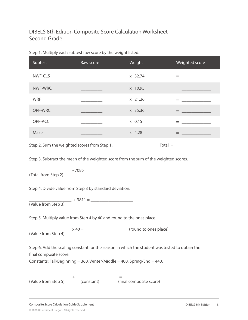## DIBELS 8th Edition Composite Score Calculation Worksheet Second Grade

| Subtest                                    | Raw score                                                                                                             | Weight              | Weighted score                                                                                      |
|--------------------------------------------|-----------------------------------------------------------------------------------------------------------------------|---------------------|-----------------------------------------------------------------------------------------------------|
| NWF-CLS                                    | <u> 1990 - Johann Barnett, fransk politiker</u>                                                                       | x 32.74             | = <u>_ _ _ _ _ _</u>                                                                                |
| NWF-WRC                                    | <u> 1999 - Johann Barn, mars and de Branch Barn, mars and de Branch Barn, mars and de Branch Barn, mars and de Br</u> | x 10.95             | $\qquad \qquad \equiv \qquad \qquad \equiv \qquad \qquad \equiv \qquad \qquad \equiv \qquad \qquad$ |
| <b>WRF</b>                                 |                                                                                                                       | x 21.26             | <b>Experience of the Community</b>                                                                  |
| ORF-WRC                                    |                                                                                                                       | x 35.36             | $=$                                                                                                 |
| ORF-ACC                                    |                                                                                                                       | x 0.15              | <b>Experience of the Community</b>                                                                  |
| Maze                                       |                                                                                                                       | x 4.28              | $=$                                                                                                 |
| Stan 2 Sum the waighted scores from Stan 1 |                                                                                                                       | $T \cap f \cap I -$ |                                                                                                     |

#### Step 1. Multiply each subtest raw score by the weight listed.

Step 2. Sum the weighted scores from Step 1.

Step 3. Subtract the mean of the weighted score from the sum of the weighted scores.

\_\_\_\_\_\_\_\_\_\_\_\_\_\_\_\_\_\_\_ - 7085 = \_\_\_\_\_\_\_\_\_\_\_\_\_\_\_\_\_\_\_ (Total from Step 2)

Step 4. Divide value from Step 3 by standard deviation.

\_\_\_\_\_\_\_\_\_\_\_\_\_\_\_\_\_\_\_ ÷ 3811 = \_\_\_\_\_\_\_\_\_\_\_\_\_\_\_\_\_\_\_ (Value from Step 3)

Step 5. Multiply value from Step 4 by 40 and round to the ones place.

\_\_\_\_\_\_\_\_\_\_\_\_\_\_\_\_\_\_\_ x 40 = \_\_\_\_\_\_\_\_\_\_\_\_\_\_\_\_\_\_\_\_(round to ones place) (Value from Step 4)

Step 6. Add the scaling constant for the season in which the student was tested to obtain the final composite score.

Constants: Fall/Beginning = 360, Winter/Middle = 400, Spring/End = 440.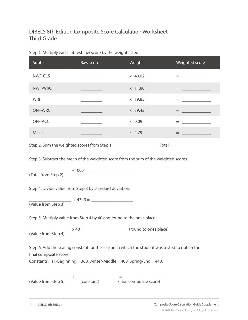## DIBELS 8th Edition Composite Score Calculation Worksheet Third Grade

| Subtest    | Raw score                     | Weight  | Weighted score                     |
|------------|-------------------------------|---------|------------------------------------|
| NWF-CLS    | the control of the control of | x 40.02 | $=$                                |
| NWF-WRC    |                               | x 11.80 | <b>Experience of the Community</b> |
| <b>WRF</b> |                               | x 19.83 | $=$                                |
| ORF-WRC    |                               | x 39.42 | $=$                                |
| ORF-ACC    |                               | x 0.09  | $=$                                |
| Maze       |                               | x 4.79  | $=$                                |
|            |                               |         |                                    |

#### Step 1. Multiply each subtest raw score by the weight listed.

Step 2. Sum the weighted scores from Step 1.  $\blacksquare$  Total =  $\blacksquare$ 

Step 3. Subtract the mean of the weighted score from the sum of the weighted scores.

\_\_\_\_\_\_\_\_\_\_\_\_\_\_\_\_\_\_\_ - 10051 = \_\_\_\_\_\_\_\_\_\_\_\_\_\_\_\_\_\_\_ (Total from Step 2)

Step 4. Divide value from Step 3 by standard deviation.

\_\_\_\_\_\_\_\_\_\_\_\_\_\_\_\_\_\_\_ ÷ 4349 = \_\_\_\_\_\_\_\_\_\_\_\_\_\_\_\_\_\_\_ (Value from Step 3)

Step 5. Multiply value from Step 4 by 40 and round to the ones place.

\_\_\_\_\_\_\_\_\_\_\_\_\_\_\_\_\_\_\_ x 40 = \_\_\_\_\_\_\_\_\_\_\_\_\_\_\_\_\_\_\_\_(round to ones place) (Value from Step 4)

Step 6. Add the scaling constant for the season in which the student was tested to obtain the final composite score.

Constants: Fall/Beginning = 360, Winter/Middle = 400, Spring/End = 440.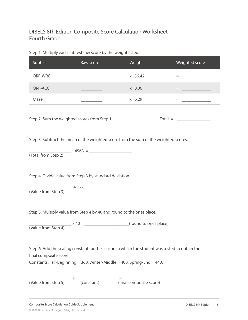## DIBELS 8th Edition Composite Score Calculation Worksheet Fourth Grade

#### Step 1. Multiply each subtest raw score by the weight listed.

| Subtest | Raw score | Weight       | Weighted score                |
|---------|-----------|--------------|-------------------------------|
| ORF-WRC |           | $x \, 36.42$ | -                             |
| ORF-ACC |           | x 0.06       | $=$                           |
| Maze    |           | x 6.29       | $\overline{\phantom{a}}$<br>- |

Step 2. Sum the weighted scores from Step 1. Total = \_\_\_\_\_\_\_\_\_\_\_\_\_\_\_\_\_\_\_\_\_\_\_\_\_\_\_

Step 3. Subtract the mean of the weighted score from the sum of the weighted scores.

\_\_\_\_\_\_\_\_\_\_\_\_\_\_\_\_\_\_\_ - 4563 = \_\_\_\_\_\_\_\_\_\_\_\_\_\_\_\_\_\_\_ (Total from Step 2)

Step 4. Divide value from Step 3 by standard deviation.

\_\_\_\_\_\_\_\_\_\_\_\_\_\_\_\_\_\_\_ ÷ 1771 = \_\_\_\_\_\_\_\_\_\_\_\_\_\_\_\_\_\_\_ (Value from Step 3)

Step 5. Multiply value from Step 4 by 40 and round to the ones place.

\_\_\_\_\_\_\_\_\_\_\_\_\_\_\_\_\_\_\_ x 40 = \_\_\_\_\_\_\_\_\_\_\_\_\_\_\_\_\_\_\_\_(round to ones place) (Value from Step 4)

Step 6. Add the scaling constant for the season in which the student was tested to obtain the final composite score.

Constants: Fall/Beginning = 360, Winter/Middle = 400, Spring/End = 440.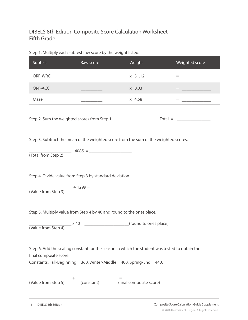## DIBELS 8th Edition Composite Score Calculation Worksheet Fifth Grade

#### Step 1. Multiply each subtest raw score by the weight listed.

| Subtest | Raw score | Weight  | Weighted score |
|---------|-----------|---------|----------------|
| ORF-WRC |           | x 31.12 | $=$            |
| ORF-ACC |           | x 0.03  | –              |
| Maze    |           | x 4.58  | _              |

Step 2. Sum the weighted scores from Step 1. Total  $=$  Total  $=$  Total  $=$  Total  $=$  Total  $=$  Total  $=$  Total  $=$  Total  $=$  Total  $=$  Total  $=$  Total  $=$  Total  $=$  Total  $=$  Total  $=$  Total  $=$  Total  $=$  Total  $=$  Total

Step 3. Subtract the mean of the weighted score from the sum of the weighted scores.

\_\_\_\_\_\_\_\_\_\_\_\_\_\_\_\_\_\_\_ - 4085 = \_\_\_\_\_\_\_\_\_\_\_\_\_\_\_\_\_\_\_ (Total from Step 2)

Step 4. Divide value from Step 3 by standard deviation.

\_\_\_\_\_\_\_\_\_\_\_\_\_\_\_\_\_\_\_ ÷ 1299 = \_\_\_\_\_\_\_\_\_\_\_\_\_\_\_\_\_\_\_ (Value from Step 3)

Step 5. Multiply value from Step 4 by 40 and round to the ones place.

\_\_\_\_\_\_\_\_\_\_\_\_\_\_\_\_\_\_\_ x 40 = \_\_\_\_\_\_\_\_\_\_\_\_\_\_\_\_\_\_\_\_(round to ones place) (Value from Step 4)

Step 6. Add the scaling constant for the season in which the student was tested to obtain the final composite score.

Constants: Fall/Beginning = 360, Winter/Middle = 400, Spring/End = 440.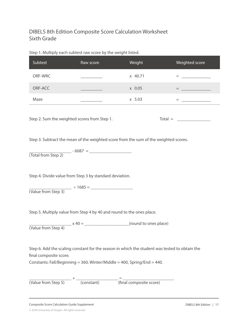## DIBELS 8th Edition Composite Score Calculation Worksheet Sixth Grade

#### Step 1. Multiply each subtest raw score by the weight listed.

| Subtest | Raw score | Weight  | Weighted score |
|---------|-----------|---------|----------------|
| ORF-WRC |           | x 40.71 | $=$            |
| ORF-ACC |           | x 0.05  | –              |
| Maze    |           | x 5.03  | _              |

Step 2. Sum the weighted scores from Step 1. Total = \_\_\_\_\_\_\_\_\_\_\_\_\_\_\_\_\_\_\_\_\_\_\_\_\_\_\_

Step 3. Subtract the mean of the weighted score from the sum of the weighted scores.

\_\_\_\_\_\_\_\_\_\_\_\_\_\_\_\_\_\_\_ - 6087 = \_\_\_\_\_\_\_\_\_\_\_\_\_\_\_\_\_\_\_ (Total from Step 2)

Step 4. Divide value from Step 3 by standard deviation.

\_\_\_\_\_\_\_\_\_\_\_\_\_\_\_\_\_\_\_ ÷ 1685 = \_\_\_\_\_\_\_\_\_\_\_\_\_\_\_\_\_\_\_ (Value from Step 3)

Step 5. Multiply value from Step 4 by 40 and round to the ones place.

\_\_\_\_\_\_\_\_\_\_\_\_\_\_\_\_\_\_\_ x 40 = \_\_\_\_\_\_\_\_\_\_\_\_\_\_\_\_\_\_\_\_(round to ones place) (Value from Step 4)

Step 6. Add the scaling constant for the season in which the student was tested to obtain the final composite score.

Constants: Fall/Beginning = 360, Winter/Middle = 400, Spring/End = 440.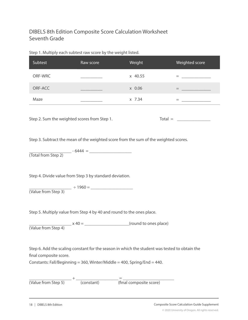## DIBELS 8th Edition Composite Score Calculation Worksheet Seventh Grade

#### Step 1. Multiply each subtest raw score by the weight listed.

| Subtest | Raw score | Weight  | Weighted score |
|---------|-----------|---------|----------------|
| ORF-WRC |           | x 40.55 | -              |
| ORF-ACC |           | x 0.06  |                |
| Maze    |           | x 7.34  |                |

Step 2. Sum the weighted scores from Step 1. Total = \_\_\_\_\_\_\_\_\_\_\_\_\_\_\_\_\_\_\_\_\_\_\_\_\_\_\_

Step 3. Subtract the mean of the weighted score from the sum of the weighted scores.

\_\_\_\_\_\_\_\_\_\_\_\_\_\_\_\_\_\_\_ - 6444 = \_\_\_\_\_\_\_\_\_\_\_\_\_\_\_\_\_\_\_ (Total from Step 2)

Step 4. Divide value from Step 3 by standard deviation.

\_\_\_\_\_\_\_\_\_\_\_\_\_\_\_\_\_\_\_ ÷ 1960 = \_\_\_\_\_\_\_\_\_\_\_\_\_\_\_\_\_\_\_ (Value from Step 3)

Step 5. Multiply value from Step 4 by 40 and round to the ones place.

\_\_\_\_\_\_\_\_\_\_\_\_\_\_\_\_\_\_\_ x 40 = \_\_\_\_\_\_\_\_\_\_\_\_\_\_\_\_\_\_\_\_(round to ones place) (Value from Step 4)

Step 6. Add the scaling constant for the season in which the student was tested to obtain the final composite score.

Constants: Fall/Beginning = 360, Winter/Middle = 400, Spring/End = 440.